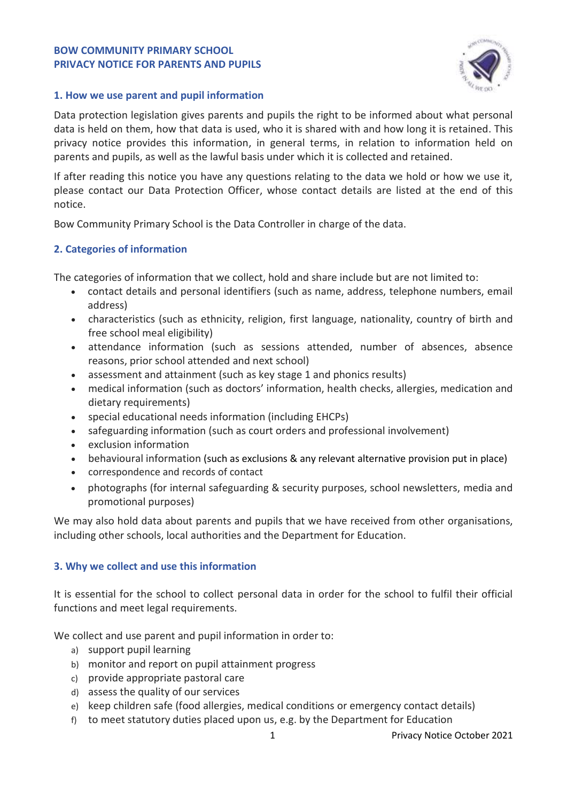#### **BOW COMMUNITY PRIMARY SCHOOL PRIVACY NOTICE FOR PARENTS AND PUPILS**



### **1. How we use parent and pupil information**

Data protection legislation gives parents and pupils the right to be informed about what personal data is held on them, how that data is used, who it is shared with and how long it is retained. This privacy notice provides this information, in general terms, in relation to information held on parents and pupils, as well as the lawful basis under which it is collected and retained.

If after reading this notice you have any questions relating to the data we hold or how we use it, please contact our Data Protection Officer, whose contact details are listed at the end of this notice.

Bow Community Primary School is the Data Controller in charge of the data.

# **2. Categories of information**

The categories of information that we collect, hold and share include but are not limited to:

- contact details and personal identifiers (such as name, address, telephone numbers, email address)
- characteristics (such as ethnicity, religion, first language, nationality, country of birth and free school meal eligibility)
- attendance information (such as sessions attended, number of absences, absence reasons, prior school attended and next school)
- assessment and attainment (such as key stage 1 and phonics results)
- medical information (such as doctors' information, health checks, allergies, medication and dietary requirements)
- special educational needs information (including EHCPs)
- safeguarding information (such as court orders and professional involvement)
- exclusion information
- behavioural information (such as exclusions & any relevant alternative provision put in place)
- correspondence and records of contact
- photographs (for internal safeguarding & security purposes, school newsletters, media and promotional purposes)

We may also hold data about parents and pupils that we have received from other organisations, including other schools, local authorities and the Department for Education.

### **3. Why we collect and use this information**

It is essential for the school to collect personal data in order for the school to fulfil their official functions and meet legal requirements.

We collect and use parent and pupil information in order to:

- a) support pupil learning
- b) monitor and report on pupil attainment progress
- c) provide appropriate pastoral care
- d) assess the quality of our services
- e) keep children safe (food allergies, medical conditions or emergency contact details)
- f) to meet statutory duties placed upon us, e.g. by the Department for Education

1 Privacy Notice October 2021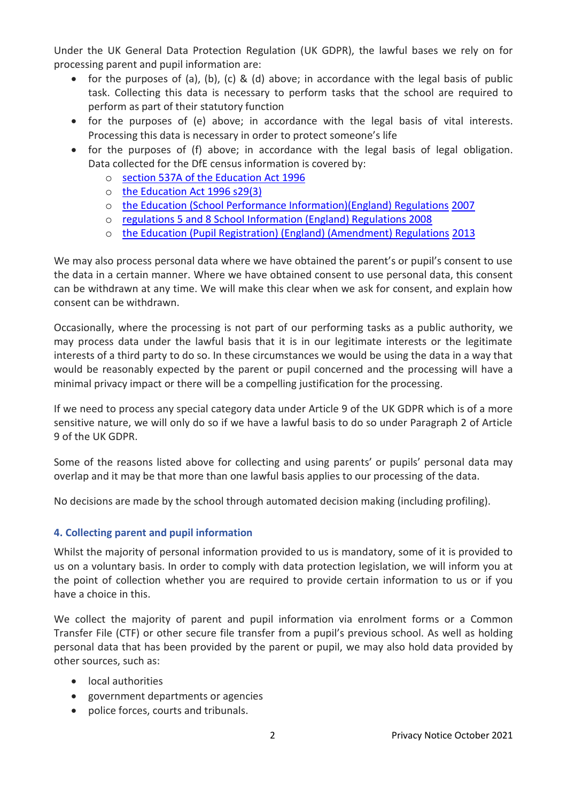Under the UK General Data Protection Regulation (UK GDPR), the lawful bases we rely on for processing parent and pupil information are:

- for the purposes of (a), (b), (c) & (d) above; in accordance with the legal basis of public task. Collecting this data is necessary to perform tasks that the school are required to perform as part of their statutory function
- for the purposes of (e) above; in accordance with the legal basis of vital interests. Processing this data is necessary in order to protect someone's life
- for the purposes of (f) above; in accordance with the legal basis of legal obligation. Data collected for the DfE census information is covered by:
	- o section 537A of the Education Act 1996
	- o the Education Act 1996 s29(3)
	- o the Education (School Performance Information)(England) Regulations 2007
	- o regulations 5 and 8 School Information (England) Regulations 2008
	- o the Education (Pupil Registration) (England) (Amendment) Regulations 2013

We may also process personal data where we have obtained the parent's or pupil's consent to use the data in a certain manner. Where we have obtained consent to use personal data, this consent can be withdrawn at any time. We will make this clear when we ask for consent, and explain how consent can be withdrawn.

Occasionally, where the processing is not part of our performing tasks as a public authority, we may process data under the lawful basis that it is in our legitimate interests or the legitimate interests of a third party to do so. In these circumstances we would be using the data in a way that would be reasonably expected by the parent or pupil concerned and the processing will have a minimal privacy impact or there will be a compelling justification for the processing.

If we need to process any special category data under Article 9 of the UK GDPR which is of a more sensitive nature, we will only do so if we have a lawful basis to do so under Paragraph 2 of Article 9 of the UK GDPR.

Some of the reasons listed above for collecting and using parents' or pupils' personal data may overlap and it may be that more than one lawful basis applies to our processing of the data.

No decisions are made by the school through automated decision making (including profiling).

# **4. Collecting parent and pupil information**

Whilst the majority of personal information provided to us is mandatory, some of it is provided to us on a voluntary basis. In order to comply with data protection legislation, we will inform you at the point of collection whether you are required to provide certain information to us or if you have a choice in this.

We collect the majority of parent and pupil information via enrolment forms or a Common Transfer File (CTF) or other secure file transfer from a pupil's previous school. As well as holding personal data that has been provided by the parent or pupil, we may also hold data provided by other sources, such as:

- local authorities
- government departments or agencies
- police forces, courts and tribunals.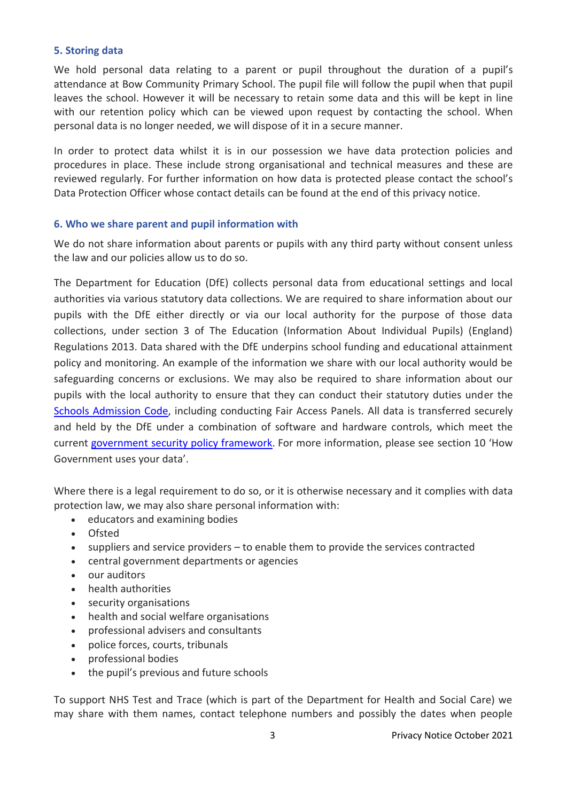### **5. Storing data**

We hold personal data relating to a parent or pupil throughout the duration of a pupil's attendance at Bow Community Primary School. The pupil file will follow the pupil when that pupil leaves the school. However it will be necessary to retain some data and this will be kept in line with our retention policy which can be viewed upon request by contacting the school. When personal data is no longer needed, we will dispose of it in a secure manner.

In order to protect data whilst it is in our possession we have data protection policies and procedures in place. These include strong organisational and technical measures and these are reviewed regularly. For further information on how data is protected please contact the school's Data Protection Officer whose contact details can be found at the end of this privacy notice.

#### **6. Who we share parent and pupil information with**

We do not share information about parents or pupils with any third party without consent unless the law and our policies allow us to do so.

The Department for Education (DfE) collects personal data from educational settings and local authorities via various statutory data collections. We are required to share information about our pupils with the DfE either directly or via our local authority for the purpose of those data collections, under section 3 of The Education (Information About Individual Pupils) (England) Regulations 2013. Data shared with the DfE underpins school funding and educational attainment policy and monitoring. An example of the information we share with our local authority would be safeguarding concerns or exclusions. We may also be required to share information about our pupils with the local authority to ensure that they can conduct their statutory duties under the [Schools Admission Code,](https://www.gov.uk/government/publications/school-admissions-code--2) including conducting Fair Access Panels. All data is transferred securely and held by the DfE under a combination of software and hardware controls, which meet the current [government security policy framework](https://www.gov.uk/government/publications/security-policy-framework). For more information, please see section 10 'How Government uses your data'.

Where there is a legal requirement to do so, or it is otherwise necessary and it complies with data protection law, we may also share personal information with:

- educators and examining bodies
- Ofsted
- suppliers and service providers to enable them to provide the services contracted
- central government departments or agencies
- our auditors
- health authorities
- security organisations
- health and social welfare organisations
- professional advisers and consultants
- police forces, courts, tribunals
- professional bodies
- the pupil's previous and future schools

To support NHS Test and Trace (which is part of the Department for Health and Social Care) we may share with them names, contact telephone numbers and possibly the dates when people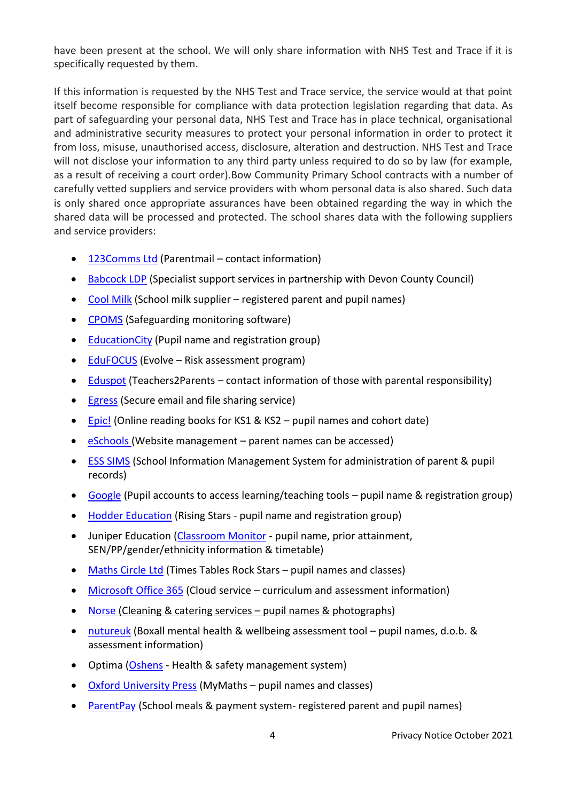have been present at the school. We will only share information with NHS Test and Trace if it is specifically requested by them.

If this information is requested by the NHS Test and Trace service, the service would at that point itself become responsible for compliance with data protection legislation regarding that data. As part of safeguarding your personal data, NHS Test and Trace has in place technical, organisational and administrative security measures to protect your personal information in order to protect it from loss, misuse, unauthorised access, disclosure, alteration and destruction. NHS Test and Trace will not disclose your information to any third party unless required to do so by law (for example, as a result of receiving a court order).Bow Community Primary School contracts with a number of carefully vetted suppliers and service providers with whom personal data is also shared. Such data is only shared once appropriate assurances have been obtained regarding the way in which the shared data will be processed and protected. The school shares data with the following suppliers and service providers:

- [123Comms](https://www.parentmail.co.uk/wp-content/uploads/2018/04/ParentMail-Data-protection-and-GDPR.pdf) Ltd (Parentmail contact information)
- [Babcock LDP](https://www.babcockldp.co.uk/privacy) (Specialist support services in partnership with Devon County Council)
- [Cool Milk](https://www.coolmilk.com/privacy-cookie-policy/) (School milk supplier registered parent and pupil names)
- [CPOMS](https://www.cpoms.co.uk/privacy-statement/) (Safeguarding monitoring software)
- [EducationCity](https://www.educationcity.com/privacy-policy/) (Pupil name and registration group)
- [EduFOCUS](https://evolve.edufocus.co.uk/privacy_include.asp) (Evolve Risk assessment program)
- $\bullet$  [Eduspot](https://eduspot.co.uk/privacy-policy/) (Teachers2Parents contact information of those with parental responsibility)
- **[Egress](https://www.egress.com/legal/privacy-policy) (Secure email and file sharing service)**
- [Epic!](https://www.getepic.com/privacy-educators) (Online reading books for KS1 & KS2 pupil names and cohort date)
- [eSchools](https://www.eschools.co.uk/policies#privacy) (Website management parent names can be accessed)
- [ESS SIMS](https://www.educationsoftwaresolutions.co.uk/privacy-notice) (School Information Management System for administration of parent & pupil records)
- [Google](https://policies.google.com/privacy) (Pupil accounts to access learning/teaching tools pupil name & registration group)
- [Hodder Education](https://www.hoddereducation.co.uk/privacynotice) (Rising Stars pupil name and registration group)
- Juniper Education [\(Classroom Monitor](https://www.classroommonitor.co.uk/wp-content/uploads/2019/02/classroom_monitor_terms_of_website_use-May2018.pdf) pupil name, prior attainment, SEN/PP/gender/ethnicity information & timetable)
- [Maths Circle Ltd](https://ttrockstars.com/page/privacy) (Times Tables Rock Stars pupil names and classes)
- [Microsoft Office 365](https://www.microsoftvolumelicensing.com/DocumentSearch.aspx?Mode=3&DocumentTypeId=46) (Cloud service curriculum and assessment information)
- [Norse](https://norsegroup.co.uk/privacy-policy/) (Cleaning & catering services pupil names & photographs)
- [nutureuk](https://new.boxallprofile.org/privacy) (Boxall mental health & wellbeing assessment tool pupil names, d.o.b. & assessment information)
- Optima [\(Oshens](http://www.oshens.com/privacy) Health & safety management system)
- [Oxford University Press](https://global.oup.com/privacy?cc=gb) (MyMaths pupil names and classes)
- [ParentPay](https://www.parentpay.com/parentpay-and-gdpr/) (School meals & payment system- registered parent and pupil names)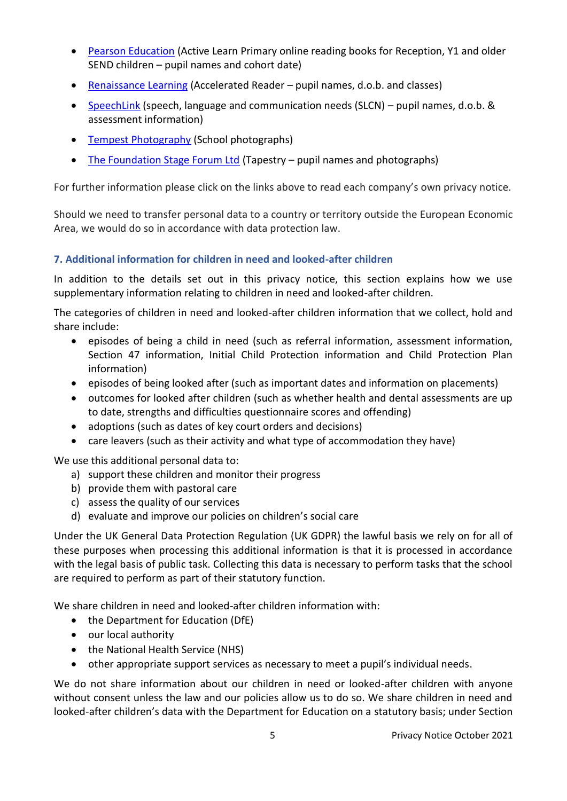- [Pearson Education](https://pi.pearsoned.com/v1/piapi/policies/static/html/EU/PearsonPrivacyPolicy_en_GB.html?cc=GB&lang=en_GB) (Active Learn Primary online reading books for Reception, Y1 and older SEND children – pupil names and cohort date)
- [Renaissance Learning](http://www.renlearn.co.uk/about-us/privacy/) (Accelerated Reader pupil names, d.o.b. and classes)
- [SpeechLink](https://speechandlanguage.info/resources/perch/pdf/infositeprivacypolicy1-2-171019-1.pdf) (speech, language and communication needs (SLCN) pupil names, d.o.b. & assessment information)
- [Tempest Photography](https://www.htempest.co.uk/gdpr) (School photographs)
- [The Foundation Stage Forum Ltd](https://tapestry.info/privacy-policy.html) (Tapestry pupil names and photographs)

For further information please click on the links above to read each company's own privacy notice.

Should we need to transfer personal data to a country or territory outside the European Economic Area, we would do so in accordance with data protection law.

# **7. Additional information for children in need and looked-after children**

In addition to the details set out in this privacy notice, this section explains how we use supplementary information relating to children in need and looked-after children.

The categories of children in need and looked-after children information that we collect, hold and share include:

- episodes of being a child in need (such as referral information, assessment information, Section 47 information, Initial Child Protection information and Child Protection Plan information)
- episodes of being looked after (such as important dates and information on placements)
- outcomes for looked after children (such as whether health and dental assessments are up to date, strengths and difficulties questionnaire scores and offending)
- adoptions (such as dates of key court orders and decisions)
- care leavers (such as their activity and what type of accommodation they have)

We use this additional personal data to:

- a) support these children and monitor their progress
- b) provide them with pastoral care
- c) assess the quality of our services
- d) evaluate and improve our policies on children's social care

Under the UK General Data Protection Regulation (UK GDPR) the lawful basis we rely on for all of these purposes when processing this additional information is that it is processed in accordance with the legal basis of public task. Collecting this data is necessary to perform tasks that the school are required to perform as part of their statutory function.

We share children in need and looked-after children information with:

- the Department for Education (DfE)
- our local authority
- the National Health Service (NHS)
- other appropriate support services as necessary to meet a pupil's individual needs.

We do not share information about our children in need or looked-after children with anyone without consent unless the law and our policies allow us to do so. We share children in need and looked-after children's data with the Department for Education on a statutory basis; under Section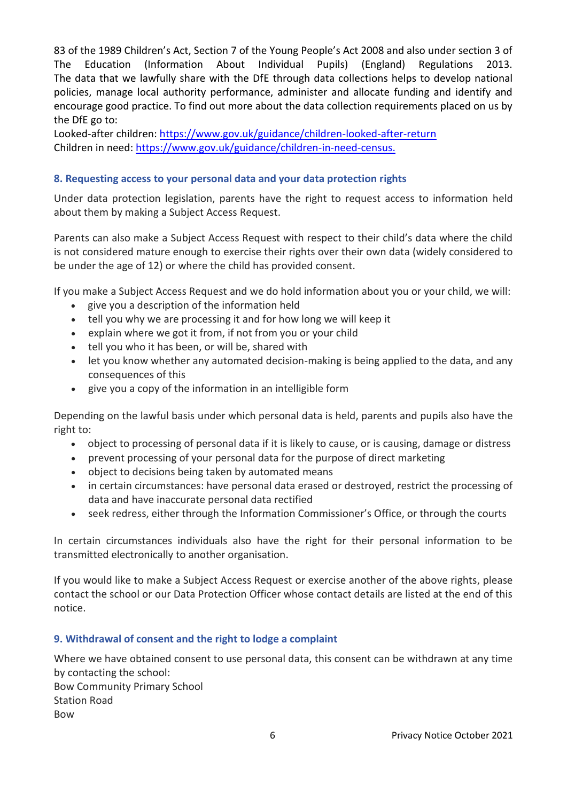83 of the 1989 Children's Act, Section 7 of the Young People's Act 2008 and also under section 3 of The Education (Information About Individual Pupils) (England) Regulations 2013. The data that we lawfully share with the DfE through data collections helps to develop national policies, manage local authority performance, administer and allocate funding and identify and encourage good practice. To find out more about the data collection requirements placed on us by the DfE go to:

Looked-after children:<https://www.gov.uk/guidance/children-looked-after-return> Children in need[: https://www.gov.uk/guidance/children-in-need-census.](https://www.gov.uk/guidance/children-in-need-census)

## **8. Requesting access to your personal data and your data protection rights**

Under data protection legislation, parents have the right to request access to information held about them by making a Subject Access Request.

Parents can also make a Subject Access Request with respect to their child's data where the child is not considered mature enough to exercise their rights over their own data (widely considered to be under the age of 12) or where the child has provided consent.

If you make a Subject Access Request and we do hold information about you or your child, we will:

- give you a description of the information held
- tell you why we are processing it and for how long we will keep it
- explain where we got it from, if not from you or your child
- tell you who it has been, or will be, shared with
- let you know whether any automated decision-making is being applied to the data, and any consequences of this
- give you a copy of the information in an intelligible form

Depending on the lawful basis under which personal data is held, parents and pupils also have the right to:

- object to processing of personal data if it is likely to cause, or is causing, damage or distress
- prevent processing of your personal data for the purpose of direct marketing
- object to decisions being taken by automated means
- in certain circumstances: have personal data erased or destroyed, restrict the processing of data and have inaccurate personal data rectified
- seek redress, either through the Information Commissioner's Office, or through the courts

In certain circumstances individuals also have the right for their personal information to be transmitted electronically to another organisation.

If you would like to make a Subject Access Request or exercise another of the above rights, please contact the school or our Data Protection Officer whose contact details are listed at the end of this notice.

### **9. Withdrawal of consent and the right to lodge a complaint**

Where we have obtained consent to use personal data, this consent can be withdrawn at any time by contacting the school:

Bow Community Primary School Station Road Bow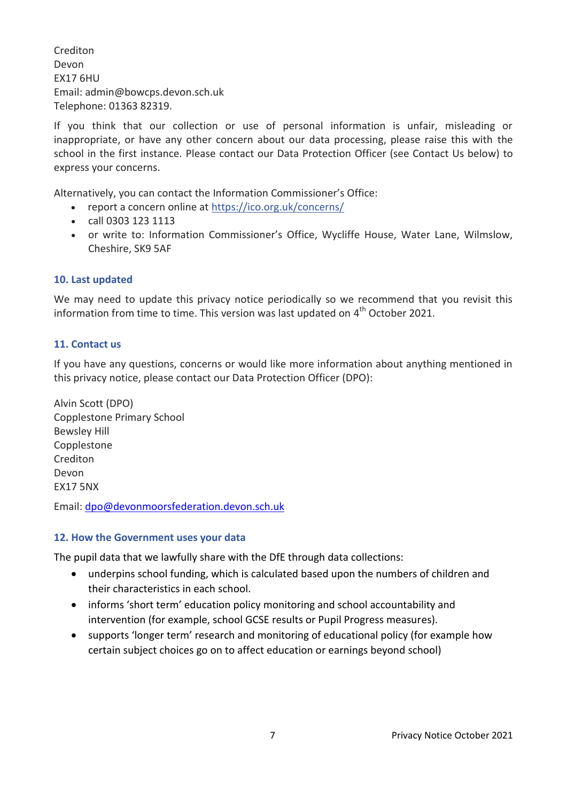Crediton Devon EX17 6HU Email: admin@bowcps.devon.sch.uk Telephone: 01363 82319.

If you think that our collection or use of personal information is unfair, misleading or inappropriate, or have any other concern about our data processing, please raise this with the school in the first instance. Please contact our Data Protection Officer (see Contact Us below) to express your concerns.

Alternatively, you can contact the Information Commissioner's Office:

- report a concern online at <https://ico.org.uk/concerns/>
- call 0303 123 1113
- or write to: Information Commissioner's Office, Wycliffe House, Water Lane, Wilmslow, Cheshire, SK9 5AF

### **10. Last updated**

We may need to update this privacy notice periodically so we recommend that you revisit this information from time to time. This version was last updated on  $4<sup>th</sup>$  October 2021.

## **11. Contact us**

If you have any questions, concerns or would like more information about anything mentioned in this privacy notice, please contact our Data Protection Officer (DPO):

Alvin Scott (DPO) Copplestone Primary School Bewsley Hill Copplestone Crediton Devon EX17 5NX

Email: [dpo@devonmoorsfederation.devon.sch.uk](mailto:dpo@devonmoorsfederation.devon.sch.uk)

### **12. How the Government uses your data**

The pupil data that we lawfully share with the DfE through data collections:

- underpins school funding, which is calculated based upon the numbers of children and their characteristics in each school.
- informs 'short term' education policy monitoring and school accountability and intervention (for example, school GCSE results or Pupil Progress measures).
- supports 'longer term' research and monitoring of educational policy (for example how certain subject choices go on to affect education or earnings beyond school)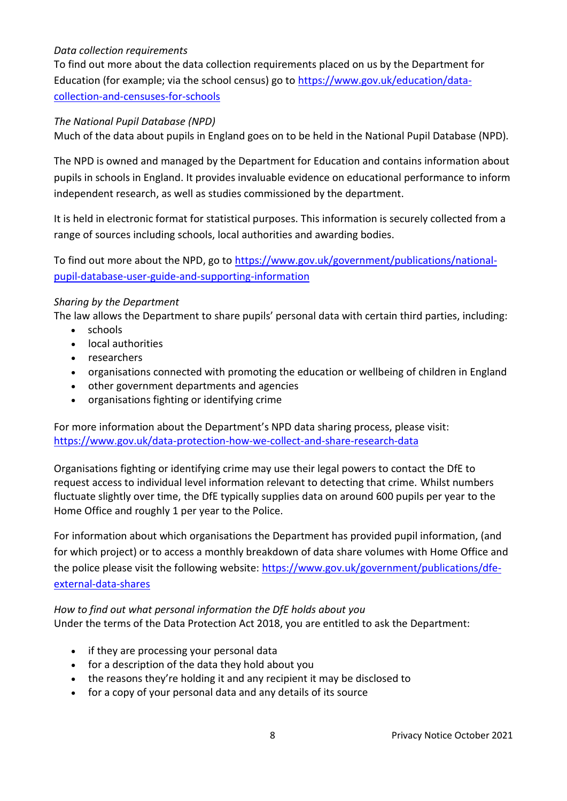# *Data collection requirements*

To find out more about the data collection requirements placed on us by the Department for Education (for example; via the school census) go to [https://www.gov.uk/education/data](https://www.gov.uk/education/data-collection-and-censuses-for-schools)[collection-and-censuses-for-schools](https://www.gov.uk/education/data-collection-and-censuses-for-schools)

### *The National Pupil Database (NPD)*

Much of the data about pupils in England goes on to be held in the National Pupil Database (NPD).

The NPD is owned and managed by the Department for Education and contains information about pupils in schools in England. It provides invaluable evidence on educational performance to inform independent research, as well as studies commissioned by the department.

It is held in electronic format for statistical purposes. This information is securely collected from a range of sources including schools, local authorities and awarding bodies.

To find out more about the NPD, go to [https://www.gov.uk/government/publications/national](https://www.gov.uk/government/publications/national-pupil-database-user-guide-and-supporting-information)[pupil-database-user-guide-and-supporting-information](https://www.gov.uk/government/publications/national-pupil-database-user-guide-and-supporting-information)

## *Sharing by the Department*

The law allows the Department to share pupils' personal data with certain third parties, including:

- schools
- local authorities
- researchers
- organisations connected with promoting the education or wellbeing of children in England
- other government departments and agencies
- organisations fighting or identifying crime

For more information about the Department's NPD data sharing process, please visit: <https://www.gov.uk/data-protection-how-we-collect-and-share-research-data>

Organisations fighting or identifying crime may use their legal powers to contact the DfE to request access to individual level information relevant to detecting that crime. Whilst numbers fluctuate slightly over time, the DfE typically supplies data on around 600 pupils per year to the Home Office and roughly 1 per year to the Police.

For information about which organisations the Department has provided pupil information, (and for which project) or to access a monthly breakdown of data share volumes with Home Office and the police please visit the following website: [https://www.gov.uk/government/publications/dfe](https://www.gov.uk/government/publications/dfe-external-data-shares)[external-data-shares](https://www.gov.uk/government/publications/dfe-external-data-shares)

### *How to find out what personal information the DfE holds about you*

Under the terms of the Data Protection Act 2018, you are entitled to ask the Department:

- if they are processing your personal data
- for a description of the data they hold about you
- the reasons they're holding it and any recipient it may be disclosed to
- for a copy of your personal data and any details of its source